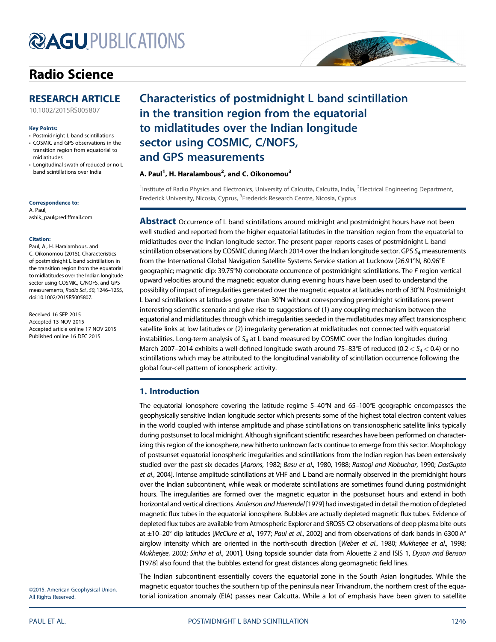# **@AGU[PUBLICATIONS](http://publications.agu.org/journals/)**

## [Radio Science](http://onlinelibrary.wiley.com/journal/10.1002/(ISSN)1944-799X)



[10.1002/2015RS005807](http://dx.doi.org/10.1002/2015RS005807)

#### Key Points:

- Postmidnight L band scintillations
- COSMIC and GPS observations in the transition region from equatorial to midlatitudes
- Longitudinal swath of reduced or no L band scintillations over India

#### Correspondence to:

A. Paul, ashik\_paul@rediffmail.com

#### Citation:

Paul, A., H. Haralambous, and C. Oikonomou (2015), Characteristics of postmidnight L band scintillation in the transition region from the equatorial to midlatitudes over the Indian longitude sector using COSMIC, C/NOFS, and GPS measurements, Radio Sci., 50, 1246–1255, doi:10.1002/2015RS005807.

Received 16 SEP 2015 Accepted 13 NOV 2015 Accepted article online 17 NOV 2015 Published online 16 DEC 2015

## Characteristics of postmidnight L band scintillation in the transition region from the equatorial to midlatitudes over the Indian longitude sector using COSMIC, C/NOFS, and GPS measurements

#### A. Paul<sup>1</sup>, H. Haralambous<sup>2</sup>, and C. Oikonomou<sup>3</sup>

<sup>1</sup>Institute of Radio Physics and Electronics, University of Calcutta, Calcutta, India, <sup>2</sup>Electrical Engineering Department, Frederick University, Nicosia, Cyprus, <sup>3</sup>Frederick Research Centre, Nicosia, Cyprus

 $\frac{1}{\sqrt{2}}$ 

**Abstract** Occurrence of L band scintillations around midnight and postmidnight hours have not been well studied and reported from the higher equatorial latitudes in the transition region from the equatorial to midlatitudes over the Indian longitude sector. The present paper reports cases of postmidnight L band scintillation observations by COSMIC during March 2014 over the Indian longitude sector. GPS  $S<sub>a</sub>$  measurements from the International Global Navigation Satellite Systems Service station at Lucknow (26.91°N, 80.96°E geographic; magnetic dip: 39.75°N) corroborate occurrence of postmidnight scintillations. The F region vertical upward velocities around the magnetic equator during evening hours have been used to understand the possibility of impact of irregularities generated over the magnetic equator at latitudes north of 30°N. Postmidnight L band scintillations at latitudes greater than 30°N without corresponding premidnight scintillations present interesting scientific scenario and give rise to suggestions of (1) any coupling mechanism between the equatorial and midlatitudes through which irregularities seeded in the midlatitudes may affect transionospheric satellite links at low latitudes or (2) irregularity generation at midlatitudes not connected with equatorial instabilities. Long-term analysis of  $S_4$  at L band measured by COSMIC over the Indian longitudes during March 2007–2014 exhibits a well-defined longitude swath around 75–83°E of reduced (0.2  $\lt S_4 \lt 0.4$ ) or no scintillations which may be attributed to the longitudinal variability of scintillation occurrence following the global four-cell pattern of ionospheric activity.

#### 1. Introduction

The equatorial ionosphere covering the latitude regime 5–40°N and 65–100°E geographic encompasses the geophysically sensitive Indian longitude sector which presents some of the highest total electron content values in the world coupled with intense amplitude and phase scintillations on transionospheric satellite links typically during postsunset to local midnight. Although significant scientific researches have been performed on characterizing this region of the ionosphere, new hitherto unknown facts continue to emerge from this sector. Morphology of postsunset equatorial ionospheric irregularities and scintillations from the Indian region has been extensively studied over the past six decades [Aarons, 1982; Basu et al., 1980, 1988; Rastogi and Klobuchar, 1990; DasGupta et al., 2004]. Intense amplitude scintillations at VHF and L band are normally observed in the premidnight hours over the Indian subcontinent, while weak or moderate scintillations are sometimes found during postmidnight hours. The irregularities are formed over the magnetic equator in the postsunset hours and extend in both horizontal and vertical directions. Anderson and Haerendel [1979] had investigated in detail the motion of depleted magnetic flux tubes in the equatorial ionosphere. Bubbles are actually depleted magnetic flux tubes. Evidence of depleted flux tubes are available from Atmospheric Explorer and SROSS-C2 observations of deep plasma bite-outs at ±10–20° dip latitudes [McClure et al., 1977; Paul et al., 2002] and from observations of dark bands in 6300 A° airglow intensity which are oriented in the north-south direction [Weber et al., 1980; Mukherjee et al., 1998; Mukherjee, 2002; Sinha et al., 2001]. Using topside sounder data from Alouette 2 and ISIS 1, Dyson and Benson [1978] also found that the bubbles extend for great distances along geomagnetic field lines.

The Indian subcontinent essentially covers the equatorial zone in the South Asian longitudes. While the magnetic equator touches the southern tip of the peninsula near Trivandrum, the northern crest of the equatorial ionization anomaly (EIA) passes near Calcutta. While a lot of emphasis have been given to satellite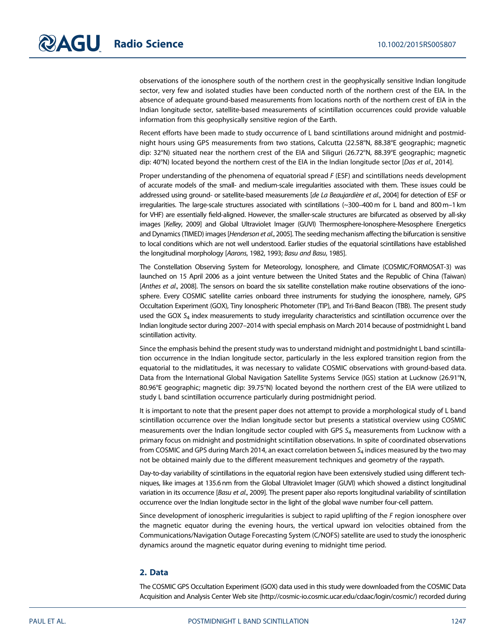observations of the ionosphere south of the northern crest in the geophysically sensitive Indian longitude sector, very few and isolated studies have been conducted north of the northern crest of the EIA. In the absence of adequate ground-based measurements from locations north of the northern crest of EIA in the Indian longitude sector, satellite-based measurements of scintillation occurrences could provide valuable information from this geophysically sensitive region of the Earth.

Recent efforts have been made to study occurrence of L band scintillations around midnight and postmidnight hours using GPS measurements from two stations, Calcutta (22.58°N, 88.38°E geographic; magnetic dip: 32°N) situated near the northern crest of the EIA and Siliguri (26.72°N, 88.39°E geographic; magnetic dip: 40°N) located beyond the northern crest of the EIA in the Indian longitude sector [Das et al., 2014].

Proper understanding of the phenomena of equatorial spread F (ESF) and scintillations needs development of accurate models of the small- and medium-scale irregularities associated with them. These issues could be addressed using ground- or satellite-based measurements [de La Beaujardière et al., 2004] for detection of ESF or irregularities. The large-scale structures associated with scintillations (~300–400 m for L band and 800m–1 km for VHF) are essentially field-aligned. However, the smaller-scale structures are bifurcated as observed by all-sky images [Kelley, 2009] and Global Ultraviolet Imager (GUVI) Thermosphere-Ionosphere-Mesosphere Energetics and Dynamics (TIMED) images [Henderson et al., 2005]. The seeding mechanism affecting the bifurcation is sensitive to local conditions which are not well understood. Earlier studies of the equatorial scintillations have established the longitudinal morphology [Aarons, 1982, 1993; Basu and Basu, 1985].

The Constellation Observing System for Meteorology, Ionosphere, and Climate (COSMIC/FORMOSAT-3) was launched on 15 April 2006 as a joint venture between the United States and the Republic of China (Taiwan) [Anthes et al., 2008]. The sensors on board the six satellite constellation make routine observations of the ionosphere. Every COSMIC satellite carries onboard three instruments for studying the ionosphere, namely, GPS Occultation Experiment (GOX), Tiny Ionospheric Photometer (TIP), and Tri-Band Beacon (TBB). The present study used the GOX  $S_4$  index measurements to study irregularity characteristics and scintillation occurrence over the Indian longitude sector during 2007–2014 with special emphasis on March 2014 because of postmidnight L band scintillation activity.

Since the emphasis behind the present study was to understand midnight and postmidnight L band scintillation occurrence in the Indian longitude sector, particularly in the less explored transition region from the equatorial to the midlatitudes, it was necessary to validate COSMIC observations with ground-based data. Data from the International Global Navigation Satellite Systems Service (IGS) station at Lucknow (26.91°N, 80.96°E geographic; magnetic dip: 39.75°N) located beyond the northern crest of the EIA were utilized to study L band scintillation occurrence particularly during postmidnight period.

It is important to note that the present paper does not attempt to provide a morphological study of L band scintillation occurrence over the Indian longitude sector but presents a statistical overview using COSMIC measurements over the Indian longitude sector coupled with GPS  $S<sub>4</sub>$  measurements from Lucknow with a primary focus on midnight and postmidnight scintillation observations. In spite of coordinated observations from COSMIC and GPS during March 2014, an exact correlation between  $S_4$  indices measured by the two may not be obtained mainly due to the different measurement techniques and geometry of the raypath.

Day-to-day variability of scintillations in the equatorial region have been extensively studied using different techniques, like images at 135.6 nm from the Global Ultraviolet Imager (GUVI) which showed a distinct longitudinal variation in its occurrence [Basu et al., 2009]. The present paper also reports longitudinal variability of scintillation occurrence over the Indian longitude sector in the light of the global wave number four-cell pattern.

Since development of ionospheric irregularities is subject to rapid uplifting of the F region ionosphere over the magnetic equator during the evening hours, the vertical upward ion velocities obtained from the Communications/Navigation Outage Forecasting System (C/NOFS) satellite are used to study the ionospheric dynamics around the magnetic equator during evening to midnight time period.

#### 2. Data

The COSMIC GPS Occultation Experiment (GOX) data used in this study were downloaded from the COSMIC Data Acquisition and Analysis Center Web site ([http://cosmic-io.cosmic.ucar.edu/cdaac/login/cosmic/\)](http://cosmic-io.cosmic.ucar.edu/cdaac/login/cosmic/) recorded during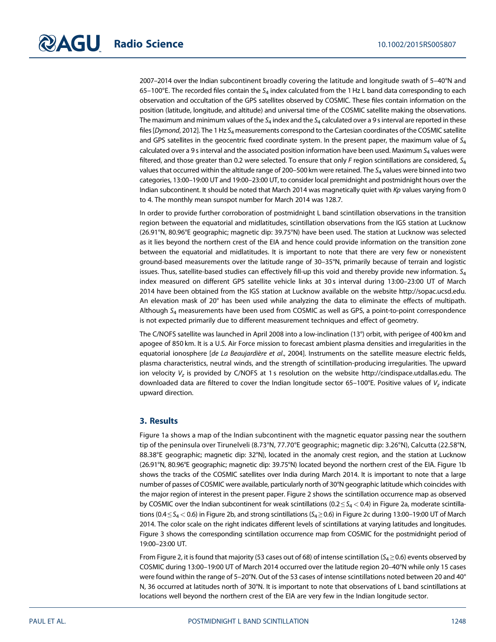2007–2014 over the Indian subcontinent broadly covering the latitude and longitude swath of 5–40°N and 65–100°E. The recorded files contain the  $S_4$  index calculated from the 1 Hz L band data corresponding to each observation and occultation of the GPS satellites observed by COSMIC. These files contain information on the position (latitude, longitude, and altitude) and universal time of the COSMIC satellite making the observations. The maximum and minimum values of the  $S_4$  index and the  $S_4$  calculated over a 9 s interval are reported in these files [Dymond, 2012]. The 1 Hz  $S_4$  measurements correspond to the Cartesian coordinates of the COSMIC satellite and GPS satellites in the geocentric fixed coordinate system. In the present paper, the maximum value of  $S<sub>4</sub>$ calculated over a 9 s interval and the associated position information have been used. Maximum  $S_4$  values were filtered, and those greater than 0.2 were selected. To ensure that only F region scintillations are considered,  $S_4$ values that occurred within the altitude range of 200–500 km were retained. The  $S_4$  values were binned into two categories, 13:00–19:00 UT and 19:00–23:00 UT, to consider local premidnight and postmidnight hours over the Indian subcontinent. It should be noted that March 2014 was magnetically quiet with Kp values varying from 0 to 4. The monthly mean sunspot number for March 2014 was 128.7.

In order to provide further corroboration of postmidnight L band scintillation observations in the transition region between the equatorial and midlatitudes, scintillation observations from the IGS station at Lucknow (26.91°N, 80.96°E geographic; magnetic dip: 39.75°N) have been used. The station at Lucknow was selected as it lies beyond the northern crest of the EIA and hence could provide information on the transition zone between the equatorial and midlatitudes. It is important to note that there are very few or nonexistent ground-based measurements over the latitude range of 30–35°N, primarily because of terrain and logistic issues. Thus, satellite-based studies can effectively fill-up this void and thereby provide new information.  $S_4$ index measured on different GPS satellite vehicle links at 30 s interval during 13:00–23:00 UT of March 2014 have been obtained from the IGS station at Lucknow available on the website [http://sopac.ucsd.edu.](http://sopac.ucsd.edu) An elevation mask of 20° has been used while analyzing the data to eliminate the effects of multipath. Although  $S_4$  measurements have been used from COSMIC as well as GPS, a point-to-point correspondence is not expected primarily due to different measurement techniques and effect of geometry.

The C/NOFS satellite was launched in April 2008 into a low-inclination (13°) orbit, with perigee of 400 km and apogee of 850 km. It is a U.S. Air Force mission to forecast ambient plasma densities and irregularities in the equatorial ionosphere [de La Beaujardière et al., 2004]. Instruments on the satellite measure electric fields, plasma characteristics, neutral winds, and the strength of scintillation-producing irregularities. The upward ion velocity  $V_z$  is provided by C/NOFS at 1 s resolution on the website [http://cindispace.utdallas.edu.](http://cindispace.utdallas.edu) The downloaded data are filtered to cover the Indian longitude sector 65-100°E. Positive values of  $V_z$  indicate upward direction.

#### 3. Results

Figure 1a shows a map of the Indian subcontinent with the magnetic equator passing near the southern tip of the peninsula over Tirunelveli (8.73°N, 77.70°E geographic; magnetic dip: 3.26°N), Calcutta (22.58°N, 88.38°E geographic; magnetic dip: 32°N), located in the anomaly crest region, and the station at Lucknow (26.91°N, 80.96°E geographic; magnetic dip: 39.75°N) located beyond the northern crest of the EIA. Figure 1b shows the tracks of the COSMIC satellites over India during March 2014. It is important to note that a large number of passes of COSMIC were available, particularly north of 30°N geographic latitude which coincides with the major region of interest in the present paper. Figure 2 shows the scintillation occurrence map as observed by COSMIC over the Indian subcontinent for weak scintillations ( $0.2 \leq S_4 < 0.4$ ) in Figure 2a, moderate scintillations (0.4  $\leq$  S<sub>4</sub> < 0.6) in Figure 2b, and strong scintillations (S<sub>4</sub>  $\geq$  0.6) in Figure 2c during 13:00-19:00 UT of March 2014. The color scale on the right indicates different levels of scintillations at varying latitudes and longitudes. Figure 3 shows the corresponding scintillation occurrence map from COSMIC for the postmidnight period of 19:00–23:00 UT.

From Figure 2, it is found that majority (53 cases out of 68) of intense scintillation ( $S_4 \ge 0.6$ ) events observed by COSMIC during 13:00–19:00 UT of March 2014 occurred over the latitude region 20–40°N while only 15 cases were found within the range of 5–20°N. Out of the 53 cases of intense scintillations noted between 20 and 40° N, 36 occurred at latitudes north of 30°N. It is important to note that observations of L band scintillations at locations well beyond the northern crest of the EIA are very few in the Indian longitude sector.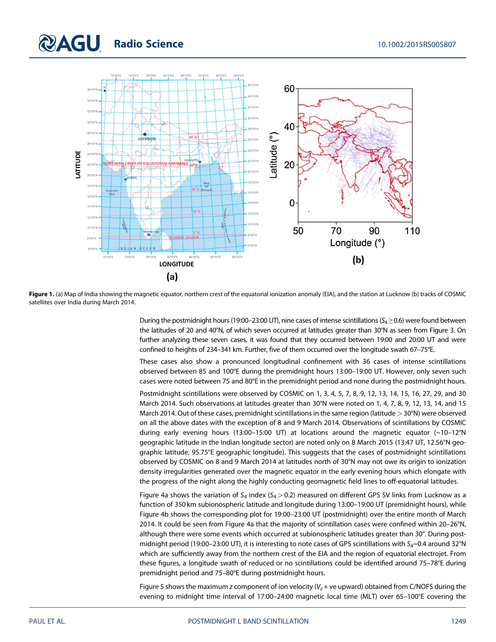### **QAGU Radio Science** 2012/07/2015RS005807



Figure 1. (a) Map of India showing the magnetic equator, northern crest of the equatorial ionization anomaly (EIA), and the station at Lucknow (b) tracks of COSMIC satellites over India during March 2014.

During the postmidnight hours (19:00–23:00 UT), nine cases of intense scintillations ( $S_4 \ge 0.6$ ) were found between the latitudes of 20 and 40°N, of which seven occurred at latitudes greater than 30°N as seen from Figure 3. On further analyzing these seven cases, it was found that they occurred between 19:00 and 20:00 UT and were confined to heights of 234–341 km. Further, five of them occurred over the longitude swath 67–75°E.

These cases also show a pronounced longitudinal confinement with 36 cases of intense scintillations observed between 85 and 100°E during the premidnight hours 13:00–19:00 UT. However, only seven such cases were noted between 75 and 80°E in the premidnight period and none during the postmidnight hours.

Postmidnight scintillations were observed by COSMIC on 1, 3, 4, 5, 7, 8, 9, 12, 13, 14, 15, 16, 27, 29, and 30 March 2014. Such observations at latitudes greater than 30°N were noted on 1, 4, 7, 8, 9, 12, 13, 14, and 15 March 2014. Out of these cases, premidnight scintillations in the same region (latitude > 30°N) were observed on all the above dates with the exception of 8 and 9 March 2014. Observations of scintillations by COSMIC during early evening hours (13:00–15:00 UT) at locations around the magnetic equator (~10–12°N geographic latitude in the Indian longitude sector) are noted only on 8 March 2015 (13:47 UT, 12.56°N geographic latitude, 95.75°E geographic longitude). This suggests that the cases of postmidnight scintillations observed by COSMIC on 8 and 9 March 2014 at latitudes north of 30°N may not owe its origin to ionization density irregularities generated over the magnetic equator in the early evening hours which elongate with the progress of the night along the highly conducting geomagnetic field lines to off-equatorial latitudes.

Figure 4a shows the variation of  $S_4$  index ( $S_4$  > 0.2) measured on different GPS SV links from Lucknow as a function of 350 km subionospheric latitude and longitude during 13:00–19:00 UT (premidnight hours), while Figure 4b shows the corresponding plot for 19:00–23:00 UT (postmidnight) over the entire month of March 2014. It could be seen from Figure 4a that the majority of scintillation cases were confined within 20–26°N, although there were some events which occurred at subionospheric latitudes greater than 30°. During postmidnight period (19:00-23:00 UT), it is interesting to note cases of GPS scintillations with  $S_4$ ~0.4 around 32°N which are sufficiently away from the northern crest of the EIA and the region of equatorial electrojet. From these figures, a longitude swath of reduced or no scintillations could be identified around 75–78°E during premidnight period and 75–80°E during postmidnight hours.

Figure 5 shows the maximum z component of ion velocity ( $V_z$  + ve upward) obtained from C/NOFS during the evening to midnight time interval of 17:00–24:00 magnetic local time (MLT) over 65–100°E covering the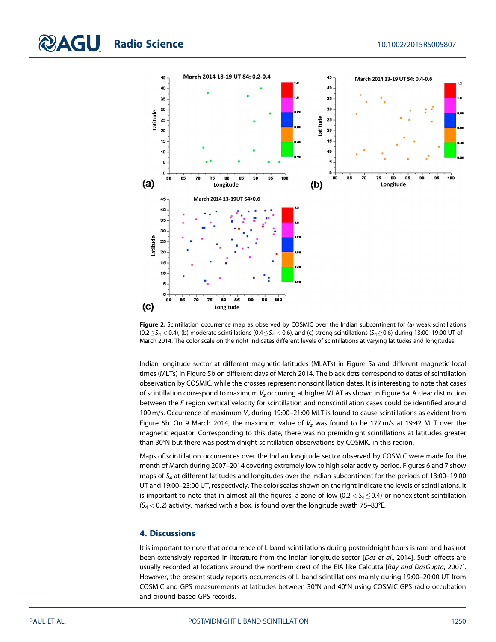

Figure 2. Scintillation occurrence map as observed by COSMIC over the Indian subcontinent for (a) weak scintillations (0.2  $\leq$  S<sub>4</sub> < 0.4), (b) moderate scintillations (0.4  $\leq$  S<sub>4</sub> < 0.6), and (c) strong scintillations (S<sub>4</sub>  $\geq$  0.6) during 13:00-19:00 UT of March 2014. The color scale on the right indicates different levels of scintillations at varying latitudes and longitudes.

Indian longitude sector at different magnetic latitudes (MLATs) in Figure 5a and different magnetic local times (MLTs) in Figure 5b on different days of March 2014. The black dots correspond to dates of scintillation observation by COSMIC, while the crosses represent nonscintillation dates. It is interesting to note that cases of scintillation correspond to maximum  $V_z$  occurring at higher MLAT as shown in Figure 5a. A clear distinction between the F region vertical velocity for scintillation and nonscintillation cases could be identified around 100 m/s. Occurrence of maximum  $V<sub>z</sub>$  during 19:00-21:00 MLT is found to cause scintillations as evident from Figure 5b. On 9 March 2014, the maximum value of  $V<sub>z</sub>$  was found to be 177 m/s at 19:42 MLT over the magnetic equator. Corresponding to this date, there was no premidnight scintillations at latitudes greater than 30°N but there was postmidnight scintillation observations by COSMIC in this region.

Maps of scintillation occurrences over the Indian longitude sector observed by COSMIC were made for the month of March during 2007–2014 covering extremely low to high solar activity period. Figures 6 and 7 show maps of  $S_4$  at different latitudes and longitudes over the Indian subcontinent for the periods of 13:00-19:00 UT and 19:00–23:00 UT, respectively. The color scales shown on the right indicate the levels of scintillations. It is important to note that in almost all the figures, a zone of low ( $0.2 < S_4 \le 0.4$ ) or nonexistent scintillation  $(S_4 < 0.2)$  activity, marked with a box, is found over the longitude swath 75-83°E.

#### 4. Discussions

It is important to note that occurrence of L band scintillations during postmidnight hours is rare and has not been extensively reported in literature from the Indian longitude sector [Das et al., 2014]. Such effects are usually recorded at locations around the northern crest of the EIA like Calcutta [Ray and DasGupta, 2007]. However, the present study reports occurrences of L band scintillations mainly during 19:00–20:00 UT from COSMIC and GPS measurements at latitudes between 30°N and 40°N using COSMIC GPS radio occultation and ground-based GPS records.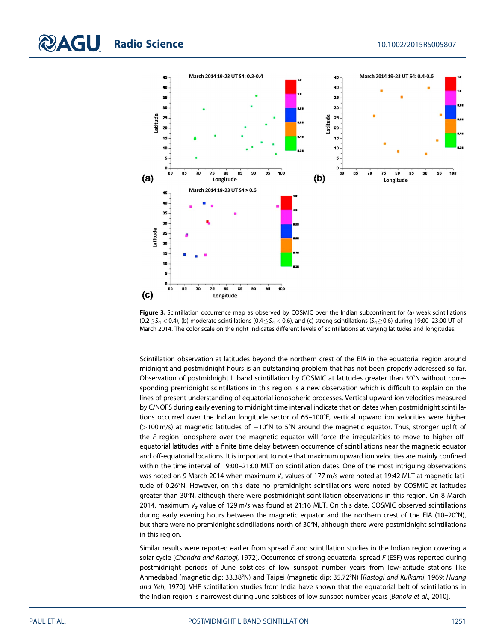

Figure 3. Scintillation occurrence map as observed by COSMIC over the Indian subcontinent for (a) weak scintillations  $(0.2 \leq S_4 < 0.4)$ , (b) moderate scintillations  $(0.4 \leq S_4 < 0.6)$ , and (c) strong scintillations  $(S_4 \geq 0.6)$  during 19:00-23:00 UT of March 2014. The color scale on the right indicates different levels of scintillations at varying latitudes and longitudes.

Scintillation observation at latitudes beyond the northern crest of the EIA in the equatorial region around midnight and postmidnight hours is an outstanding problem that has not been properly addressed so far. Observation of postmidnight L band scintillation by COSMIC at latitudes greater than 30°N without corresponding premidnight scintillations in this region is a new observation which is difficult to explain on the lines of present understanding of equatorial ionospheric processes. Vertical upward ion velocities measured by C/NOFS during early evening to midnight time interval indicate that on dates when postmidnight scintillations occurred over the Indian longitude sector of 65–100°E, vertical upward ion velocities were higher (>100 m/s) at magnetic latitudes of 10°N to 5°N around the magnetic equator. Thus, stronger uplift of the F region ionosphere over the magnetic equator will force the irregularities to move to higher offequatorial latitudes with a finite time delay between occurrence of scintillations near the magnetic equator and off-equatorial locations. It is important to note that maximum upward ion velocities are mainly confined within the time interval of 19:00–21:00 MLT on scintillation dates. One of the most intriguing observations was noted on 9 March 2014 when maximum  $V<sub>z</sub>$  values of 177 m/s were noted at 19:42 MLT at magnetic latitude of 0.26°N. However, on this date no premidnight scintillations were noted by COSMIC at latitudes greater than 30°N, although there were postmidnight scintillation observations in this region. On 8 March 2014, maximum V<sub>z</sub> value of 129 m/s was found at 21:16 MLT. On this date, COSMIC observed scintillations during early evening hours between the magnetic equator and the northern crest of the EIA (10–20°N), but there were no premidnight scintillations north of 30°N, although there were postmidnight scintillations in this region.

Similar results were reported earlier from spread  $F$  and scintillation studies in the Indian region covering a solar cycle [Chandra and Rastogi, 1972]. Occurrence of strong equatorial spread F (ESF) was reported during postmidnight periods of June solstices of low sunspot number years from low-latitude stations like Ahmedabad (magnetic dip: 33.38°N) and Taipei (magnetic dip: 35.72°N) [Rastogi and Kulkarni, 1969; Huang and Yeh, 1970]. VHF scintillation studies from India have shown that the equatorial belt of scintillations in the Indian region is narrowest during June solstices of low sunspot number years [Banola et al., 2010].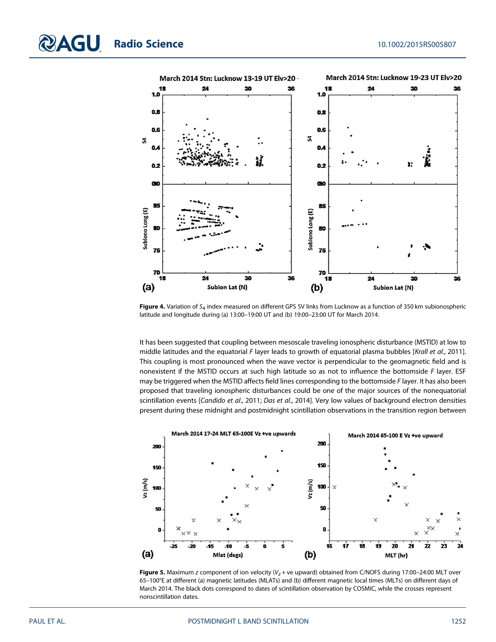

Figure 4. Variation of  $S_4$  index measured on different GPS SV links from Lucknow as a function of 350 km subionospheric latitude and longitude during (a) 13:00–19:00 UT and (b) 19:00–23:00 UT for March 2014.

It has been suggested that coupling between mesoscale traveling ionospheric disturbance (MSTID) at low to middle latitudes and the equatorial F layer leads to growth of equatorial plasma bubbles [Krall et al., 2011]. This coupling is most pronounced when the wave vector is perpendicular to the geomagnetic field and is nonexistent if the MSTID occurs at such high latitude so as not to influence the bottomside F layer. ESF may be triggered when the MSTID affects field lines corresponding to the bottomside F layer. It has also been proposed that traveling ionospheric disturbances could be one of the major sources of the nonequatorial scintillation events [Candido et al., 2011; Das et al., 2014]. Very low values of background electron densities present during these midnight and postmidnight scintillation observations in the transition region between



Figure 5. Maximum z component of ion velocity ( $V_z$  + ve upward) obtained from C/NOFS during 17:00-24:00 MLT over 65–100°E at different (a) magnetic latitudes (MLATs) and (b) different magnetic local times (MLTs) on different days of March 2014. The black dots correspond to dates of scintillation observation by COSMIC, while the crosses represent nonscintillation dates.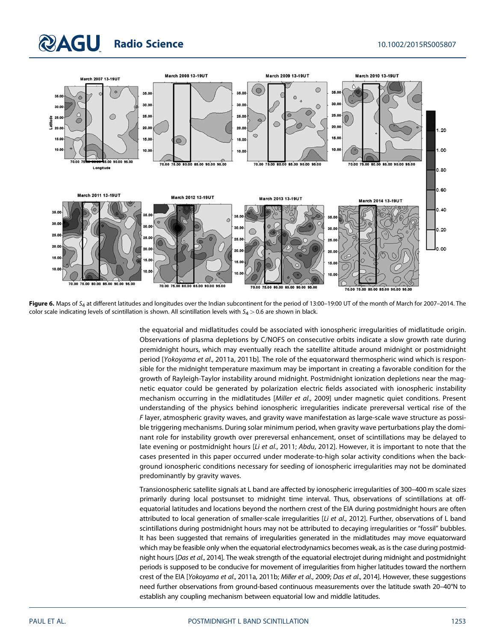### **QAGU Radio Science** 2012/2015RS005807



Figure 6. Maps of  $S_4$  at different latitudes and longitudes over the Indian subcontinent for the period of 13:00-19:00 UT of the month of March for 2007-2014. The color scale indicating levels of scintillation is shown. All scintillation levels with  $S_4 > 0.6$  are shown in black.

the equatorial and midlatitudes could be associated with ionospheric irregularities of midlatitude origin. Observations of plasma depletions by C/NOFS on consecutive orbits indicate a slow growth rate during premidnight hours, which may eventually reach the satellite altitude around midnight or postmidnight period [Yokoyama et al., 2011a, 2011b]. The role of the equatorward thermospheric wind which is responsible for the midnight temperature maximum may be important in creating a favorable condition for the growth of Rayleigh-Taylor instability around midnight. Postmidnight ionization depletions near the magnetic equator could be generated by polarization electric fields associated with ionospheric instability mechanism occurring in the midlatitudes [Miller et al., 2009] under magnetic quiet conditions. Present understanding of the physics behind ionospheric irregularities indicate prereversal vertical rise of the F layer, atmospheric gravity waves, and gravity wave manifestation as large-scale wave structure as possible triggering mechanisms. During solar minimum period, when gravity wave perturbations play the dominant role for instability growth over prereversal enhancement, onset of scintillations may be delayed to late evening or postmidnight hours [Li et al., 2011; Abdu, 2012]. However, it is important to note that the cases presented in this paper occurred under moderate-to-high solar activity conditions when the background ionospheric conditions necessary for seeding of ionospheric irregularities may not be dominated predominantly by gravity waves.

Transionospheric satellite signals at L band are affected by ionospheric irregularities of 300–400 m scale sizes primarily during local postsunset to midnight time interval. Thus, observations of scintillations at offequatorial latitudes and locations beyond the northern crest of the EIA during postmidnight hours are often attributed to local generation of smaller-scale irregularities [Li et al., 2012]. Further, observations of L band scintillations during postmidnight hours may not be attributed to decaying irregularities or "fossil" bubbles. It has been suggested that remains of irregularities generated in the midlatitudes may move equatorward which may be feasible only when the equatorial electrodynamics becomes weak, as is the case during postmidnight hours [Das et al., 2014]. The weak strength of the equatorial electrojet during midnight and postmidnight periods is supposed to be conducive for movement of irregularities from higher latitudes toward the northern crest of the EIA [Yokoyama et al., 2011a, 2011b; Miller et al., 2009; Das et al., 2014]. However, these suggestions need further observations from ground-based continuous measurements over the latitude swath 20–40°N to establish any coupling mechanism between equatorial low and middle latitudes.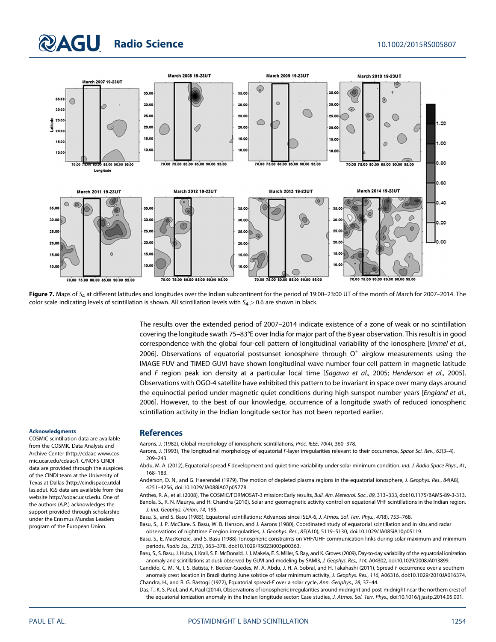# **RAGU Radio Science** 10.1002/2015RS005807



Figure 7. Maps of  $S_4$  at different latitudes and longitudes over the Indian subcontinent for the period of 19:00-23:00 UT of the month of March for 2007-2014. The color scale indicating levels of scintillation is shown. All scintillation levels with  $S_4 > 0.6$  are shown in black.

The results over the extended period of 2007–2014 indicate existence of a zone of weak or no scintillation covering the longitude swath 75–83°E over India for major part of the 8 year observation. This result is in good correspondence with the global four-cell pattern of longitudinal variability of the ionosphere [Immel et al., 2006]. Observations of equatorial postsunset ionosphere through  $O<sup>+</sup>$  airglow measurements using the IMAGE FUV and TIMED GUVI have shown longitudinal wave number four-cell pattern in magnetic latitude and F region peak ion density at a particular local time [Sagawa et al., 2005; Henderson et al., 2005]. Observations with OGO-4 satellite have exhibited this pattern to be invariant in space over many days around the equinoctial period under magnetic quiet conditions during high sunspot number years [England et al., 2006]. However, to the best of our knowledge, occurrence of a longitude swath of reduced ionospheric scintillation activity in the Indian longitude sector has not been reported earlier.

#### Acknowledgments

COSMIC scintillation data are available from the COSMIC Data Analysis and Archive Center [\(http://cdaac-www.cos](http://cdaac-www.cosmic.ucar.edu/cdaac/)[mic.ucar.edu/cdaac/\)](http://cdaac-www.cosmic.ucar.edu/cdaac/). C/NOFS CINDI data are provided through the auspices of the CINDI team at the University of Texas at Dallas ([http://cindispace.utdal](http://cindispace.utdallas.edu)[las.edu](http://cindispace.utdallas.edu)). IGS data are available from the website [http://sopac.ucsd.edu.](http://sopac.ucsd.edu) One of the authors (A.P.) acknowledges the support provided through scholarship under the Erasmus Mundas Leaders program of the European Union.

#### **References**

- Aarons, J. (1982), Global morphology of ionospheric scintillations, Proc. IEEE, 70(4), 360–378.
- Aarons, J. (1993), The longitudinal morphology of equatorial F-layer irregularities relevant to their occurrence, Space Sci. Rev., 63(3-4), 209–243.
- Abdu, M. A. (2012), Equatorial spread F development and quiet time variability under solar minimum condition, Ind. J. Radio Space Phys., 41, 168–183.
- Anderson, D. N., and G. Haerendel (1979). The motion of depleted plasma regions in the equatorial ionosphere, J. Geophys. Res., 84(A8), 4251–4256, doi:[10.1029/JA088iA07p05778](http://dx.doi.org/10.1029/JA088iA07p05778).
- Anthes, R. A., et al. (2008), The COSMIC/FORMOSAT-3 mission: Early results, Bull. Am. Meteorol. Soc., 89, 313–333, doi:[10.1175/BAMS-89-3-313](http://dx.doi.org/10.1175/BAMS-89-3-313). Banola, S., R. N. Maurya, and H. Chandra (2010), Solar and geomagnetic activity control on equatorial VHF scintillations in the Indian region, J. Ind. Geophys. Union, 14, 195.
- Basu, S., and S. Basu (1985), Equatorial scintillations: Advances since ISEA-6, J. Atmos. Sol. Terr. Phys., 47(8), 753–768.
- Basu, S., J. P. McClure, S. Basu, W. B. Hanson, and J. Aarons (1980), Coordinated study of equatorial scintillation and in situ and radar observations of nighttime F region irregularities, J. Geophys. Res., 85(A10), 5119–5130, doi:[10.1029/JA085iA10p05119](http://dx.doi.org/10.1029/JA085iA10p05119).
- Basu, S., E. MacKenzie, and S. Basu (1988), Ionospheric constraints on VHF/UHF communication links during solar maximum and minimum periods, Radio Sci., 23(3), 363–378, doi:[10.1029/RS023i003p00363.](http://dx.doi.org/10.1029/RS023i003p00363)
- Basu, S., S. Basu, J. Huba, J. Krall, S. E. McDonald, J. J. Makela, E. S. Miller, S. Ray, and K. Groves (2009), Day-to-day variability of the equatorial ionization anomaly and scintillations at dusk observed by GUVI and modeling by SAMI3, J. Geophys. Res., 114, A04302, doi:[10.1029/2008JA013899.](http://dx.doi.org/10.1029/2008JA013899)
- Candido, C. M. N., I. S. Batista, F. Becker-Guedes, M. A. Abdu, J. H. A. Sobral, and H. Takahashi (2011), Spread F occurrence over a southern anomaly crest location in Brazil during June solstice of solar minimum activity, J. Geophys. Res., 116, A06316, doi[:10.1029/2010JA016374](http://dx.doi.org/10.1029/2010JA016374). Chandra, H., and R. G. Rastogi (1972), Equatorial spread-F over a solar cycle, Ann. Geophys., 28, 37–44.
- Das, T., K. S. Paul, and A. Paul (2014), Observations of ionospheric irregularities around midnight and post-midnight near the northern crest of the equatorial ionization anomaly in the Indian longitude sector: Case studies, J. Atmos. Sol. Terr. Phys., doi[:10.1016/j.jastp.2014.05.001.](http://dx.doi.org/10.1016/j.jastp.2014.05.001)